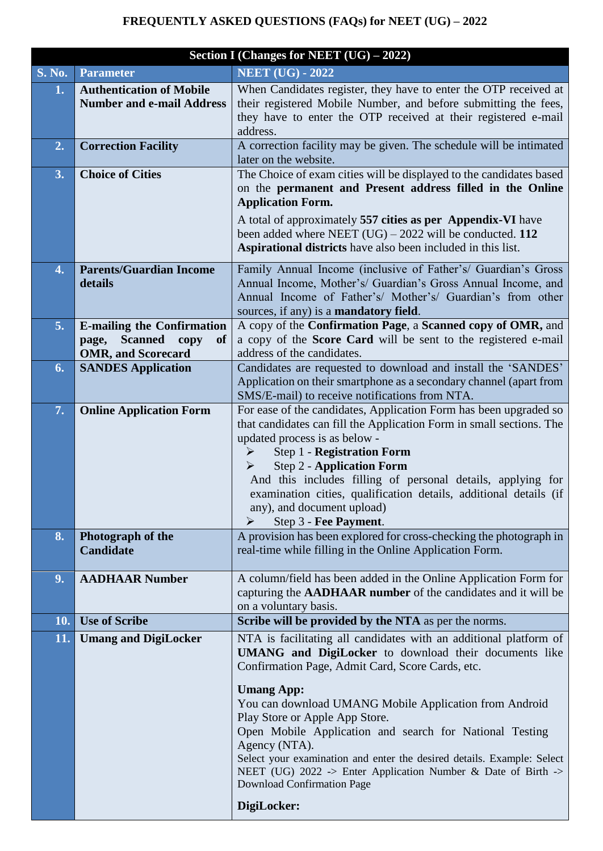## **FREQUENTLY ASKED QUESTIONS (FAQs) for NEET (UG) – 2022**

|               | Section I (Changes for NEET (UG) - 2022)                                                                       |                                                                                                                                                                                                                                                                                                                                                                                                                                                                                                                                                                            |  |
|---------------|----------------------------------------------------------------------------------------------------------------|----------------------------------------------------------------------------------------------------------------------------------------------------------------------------------------------------------------------------------------------------------------------------------------------------------------------------------------------------------------------------------------------------------------------------------------------------------------------------------------------------------------------------------------------------------------------------|--|
| <b>S. No.</b> | <b>Parameter</b>                                                                                               | <b>NEET (UG) - 2022</b>                                                                                                                                                                                                                                                                                                                                                                                                                                                                                                                                                    |  |
| 1.            | <b>Authentication of Mobile</b><br><b>Number and e-mail Address</b>                                            | When Candidates register, they have to enter the OTP received at<br>their registered Mobile Number, and before submitting the fees,<br>they have to enter the OTP received at their registered e-mail<br>address.                                                                                                                                                                                                                                                                                                                                                          |  |
| 2.            | <b>Correction Facility</b>                                                                                     | A correction facility may be given. The schedule will be intimated<br>later on the website.                                                                                                                                                                                                                                                                                                                                                                                                                                                                                |  |
| 3.            | <b>Choice of Cities</b>                                                                                        | The Choice of exam cities will be displayed to the candidates based<br>on the permanent and Present address filled in the Online<br><b>Application Form.</b><br>A total of approximately 557 cities as per Appendix-VI have<br>been added where NEET $(UG) - 2022$ will be conducted. 112<br>Aspirational districts have also been included in this list.                                                                                                                                                                                                                  |  |
| 4.            | <b>Parents/Guardian Income</b><br>details                                                                      | Family Annual Income (inclusive of Father's/ Guardian's Gross<br>Annual Income, Mother's/ Guardian's Gross Annual Income, and<br>Annual Income of Father's/ Mother's/ Guardian's from other<br>sources, if any) is a mandatory field.                                                                                                                                                                                                                                                                                                                                      |  |
| 5.            | <b>E-mailing the Confirmation</b><br><b>Scanned</b><br><b>of</b><br>page,<br>copy<br><b>OMR, and Scorecard</b> | A copy of the Confirmation Page, a Scanned copy of OMR, and<br>a copy of the Score Card will be sent to the registered e-mail<br>address of the candidates.                                                                                                                                                                                                                                                                                                                                                                                                                |  |
| 6.            | <b>SANDES Application</b>                                                                                      | Candidates are requested to download and install the 'SANDES'<br>Application on their smartphone as a secondary channel (apart from<br>SMS/E-mail) to receive notifications from NTA.                                                                                                                                                                                                                                                                                                                                                                                      |  |
| 7.            | <b>Online Application Form</b>                                                                                 | For ease of the candidates, Application Form has been upgraded so<br>that candidates can fill the Application Form in small sections. The<br>updated process is as below -<br>Step 1 - Registration Form<br><b>Step 2 - Application Form</b><br>➤<br>And this includes filling of personal details, applying for<br>examination cities, qualification details, additional details (if<br>any), and document upload)<br>Step 3 - Fee Payment.<br>➤                                                                                                                          |  |
| 8.            | Photograph of the<br><b>Candidate</b>                                                                          | A provision has been explored for cross-checking the photograph in<br>real-time while filling in the Online Application Form.                                                                                                                                                                                                                                                                                                                                                                                                                                              |  |
| 9.            | <b>AADHAAR Number</b>                                                                                          | A column/field has been added in the Online Application Form for<br>capturing the <b>AADHAAR</b> number of the candidates and it will be<br>on a voluntary basis.                                                                                                                                                                                                                                                                                                                                                                                                          |  |
| 10.           | <b>Use of Scribe</b>                                                                                           | Scribe will be provided by the NTA as per the norms.                                                                                                                                                                                                                                                                                                                                                                                                                                                                                                                       |  |
| 11.           | <b>Umang and DigiLocker</b>                                                                                    | NTA is facilitating all candidates with an additional platform of<br>UMANG and DigiLocker to download their documents like<br>Confirmation Page, Admit Card, Score Cards, etc.<br><b>Umang App:</b><br>You can download UMANG Mobile Application from Android<br>Play Store or Apple App Store.<br>Open Mobile Application and search for National Testing<br>Agency (NTA).<br>Select your examination and enter the desired details. Example: Select<br>NEET (UG) 2022 -> Enter Application Number & Date of Birth -><br><b>Download Confirmation Page</b><br>DigiLocker: |  |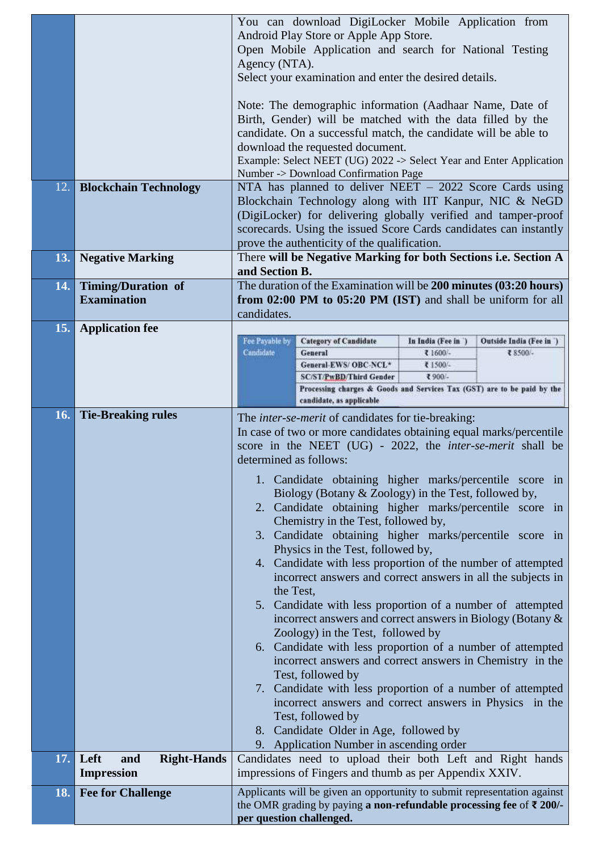| 12.<br>13. | <b>Blockchain Technology</b><br><b>Negative Marking</b> | You can download DigiLocker Mobile Application from<br>Android Play Store or Apple App Store.<br>Open Mobile Application and search for National Testing<br>Agency (NTA).<br>Select your examination and enter the desired details.<br>Note: The demographic information (Aadhaar Name, Date of<br>Birth, Gender) will be matched with the data filled by the<br>candidate. On a successful match, the candidate will be able to<br>download the requested document.<br>Example: Select NEET (UG) 2022 -> Select Year and Enter Application<br>Number -> Download Confirmation Page<br>NTA has planned to deliver NEET $-2022$ Score Cards using<br>Blockchain Technology along with IIT Kanpur, NIC & NeGD<br>(DigiLocker) for delivering globally verified and tamper-proof<br>scorecards. Using the issued Score Cards candidates can instantly<br>prove the authenticity of the qualification.<br>There will be Negative Marking for both Sections i.e. Section A                                                                                                                                                                                                                                                                                 |  |
|------------|---------------------------------------------------------|-------------------------------------------------------------------------------------------------------------------------------------------------------------------------------------------------------------------------------------------------------------------------------------------------------------------------------------------------------------------------------------------------------------------------------------------------------------------------------------------------------------------------------------------------------------------------------------------------------------------------------------------------------------------------------------------------------------------------------------------------------------------------------------------------------------------------------------------------------------------------------------------------------------------------------------------------------------------------------------------------------------------------------------------------------------------------------------------------------------------------------------------------------------------------------------------------------------------------------------------------------|--|
|            |                                                         | and Section B.                                                                                                                                                                                                                                                                                                                                                                                                                                                                                                                                                                                                                                                                                                                                                                                                                                                                                                                                                                                                                                                                                                                                                                                                                                        |  |
| 14.        | <b>Timing/Duration of</b>                               | The duration of the Examination will be 200 minutes (03:20 hours)                                                                                                                                                                                                                                                                                                                                                                                                                                                                                                                                                                                                                                                                                                                                                                                                                                                                                                                                                                                                                                                                                                                                                                                     |  |
|            | <b>Examination</b>                                      | from 02:00 PM to 05:20 PM (IST) and shall be uniform for all<br>candidates.                                                                                                                                                                                                                                                                                                                                                                                                                                                                                                                                                                                                                                                                                                                                                                                                                                                                                                                                                                                                                                                                                                                                                                           |  |
| 15.        | <b>Application fee</b>                                  |                                                                                                                                                                                                                                                                                                                                                                                                                                                                                                                                                                                                                                                                                                                                                                                                                                                                                                                                                                                                                                                                                                                                                                                                                                                       |  |
|            |                                                         | Fee Payable by<br><b>Category of Candidate</b><br>In India (Fee in)<br>Outside India (Fee in )                                                                                                                                                                                                                                                                                                                                                                                                                                                                                                                                                                                                                                                                                                                                                                                                                                                                                                                                                                                                                                                                                                                                                        |  |
|            |                                                         | Candidate<br>General<br>₹ 1600 -<br>₹8500/-<br>General-EWS/OBC-NCL*<br>₹1500/-                                                                                                                                                                                                                                                                                                                                                                                                                                                                                                                                                                                                                                                                                                                                                                                                                                                                                                                                                                                                                                                                                                                                                                        |  |
|            |                                                         | ₹900/-<br><b>SC/ST/PwBD/Third Gender</b>                                                                                                                                                                                                                                                                                                                                                                                                                                                                                                                                                                                                                                                                                                                                                                                                                                                                                                                                                                                                                                                                                                                                                                                                              |  |
|            |                                                         | Processing charges & Goods and Services Tax (GST) are to be paid by the<br>candidate, as applicable                                                                                                                                                                                                                                                                                                                                                                                                                                                                                                                                                                                                                                                                                                                                                                                                                                                                                                                                                                                                                                                                                                                                                   |  |
| 16.        | <b>Tie-Breaking rules</b>                               |                                                                                                                                                                                                                                                                                                                                                                                                                                                                                                                                                                                                                                                                                                                                                                                                                                                                                                                                                                                                                                                                                                                                                                                                                                                       |  |
|            |                                                         | The <i>inter-se-merit</i> of candidates for tie-breaking:<br>In case of two or more candidates obtaining equal marks/percentile<br>score in the NEET (UG) - 2022, the <i>inter-se-merit</i> shall be<br>determined as follows:<br>1. Candidate obtaining higher marks/percentile score in<br>Biology (Botany & Zoology) in the Test, followed by,<br>2. Candidate obtaining higher marks/percentile score in<br>Chemistry in the Test, followed by,<br>3. Candidate obtaining higher marks/percentile score in<br>Physics in the Test, followed by,<br>4. Candidate with less proportion of the number of attempted<br>incorrect answers and correct answers in all the subjects in<br>the Test,<br>5. Candidate with less proportion of a number of attempted<br>incorrect answers and correct answers in Biology (Botany &<br>Zoology) in the Test, followed by<br>6. Candidate with less proportion of a number of attempted<br>incorrect answers and correct answers in Chemistry in the<br>Test, followed by<br>7. Candidate with less proportion of a number of attempted<br>incorrect answers and correct answers in Physics in the<br>Test, followed by<br>8. Candidate Older in Age, followed by<br>9. Application Number in ascending order |  |
| 17.        | <b>Right-Hands</b><br>Left<br>and                       | Candidates need to upload their both Left and Right hands                                                                                                                                                                                                                                                                                                                                                                                                                                                                                                                                                                                                                                                                                                                                                                                                                                                                                                                                                                                                                                                                                                                                                                                             |  |
|            | <b>Impression</b>                                       | impressions of Fingers and thumb as per Appendix XXIV.                                                                                                                                                                                                                                                                                                                                                                                                                                                                                                                                                                                                                                                                                                                                                                                                                                                                                                                                                                                                                                                                                                                                                                                                |  |
| 18.        | <b>Fee for Challenge</b>                                | Applicants will be given an opportunity to submit representation against<br>the OMR grading by paying a non-refundable processing fee of $\bar{\tau}$ 200/-<br>per question challenged.                                                                                                                                                                                                                                                                                                                                                                                                                                                                                                                                                                                                                                                                                                                                                                                                                                                                                                                                                                                                                                                               |  |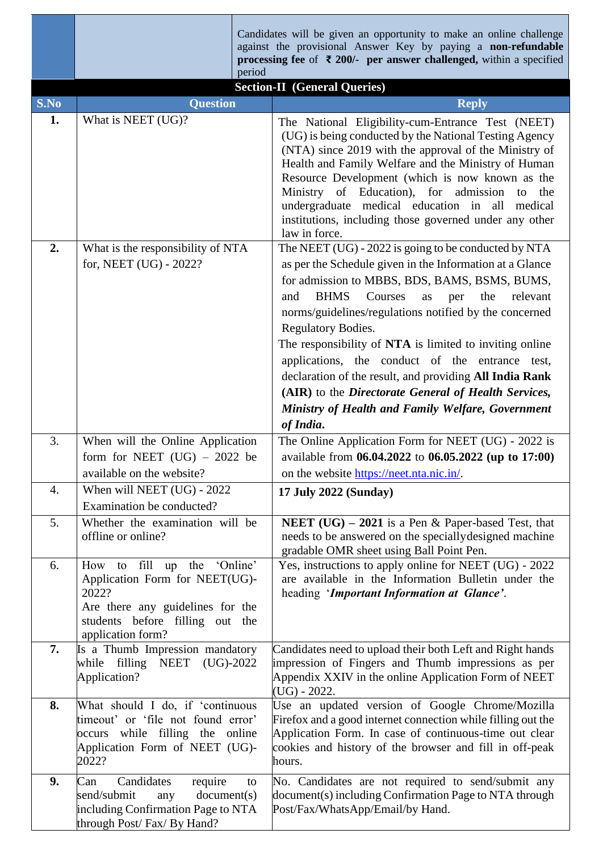|      | period                                                                                                                                                                      | Candidates will be given an opportunity to make an online challenge<br>against the provisional Answer Key by paying a non-refundable<br>processing fee of $\bar{\tau}$ 200/- per answer challenged, within a specified<br><b>Section-II</b> (General Queries)                                                                                                                                                                                                                                                                                                                                                         |
|------|-----------------------------------------------------------------------------------------------------------------------------------------------------------------------------|-----------------------------------------------------------------------------------------------------------------------------------------------------------------------------------------------------------------------------------------------------------------------------------------------------------------------------------------------------------------------------------------------------------------------------------------------------------------------------------------------------------------------------------------------------------------------------------------------------------------------|
| S.No | <b>Question</b>                                                                                                                                                             | <b>Reply</b>                                                                                                                                                                                                                                                                                                                                                                                                                                                                                                                                                                                                          |
| 1.   | What is NEET (UG)?                                                                                                                                                          | The National Eligibility-cum-Entrance Test (NEET)<br>(UG) is being conducted by the National Testing Agency<br>(NTA) since 2019 with the approval of the Ministry of<br>Health and Family Welfare and the Ministry of Human<br>Resource Development (which is now known as the<br>Ministry of Education), for admission<br>the<br>to<br>undergraduate medical education in all<br>medical<br>institutions, including those governed under any other<br>law in force.                                                                                                                                                  |
| 2.   | What is the responsibility of NTA<br>for, NEET (UG) - 2022?                                                                                                                 | The NEET (UG) - 2022 is going to be conducted by NTA<br>as per the Schedule given in the Information at a Glance<br>for admission to MBBS, BDS, BAMS, BSMS, BUMS,<br><b>BHMS</b><br>Courses<br>relevant<br>and<br>the<br>as<br>per<br>norms/guidelines/regulations notified by the concerned<br>Regulatory Bodies.<br>The responsibility of NTA is limited to inviting online<br>applications, the conduct of the entrance test,<br>declaration of the result, and providing All India Rank<br>(AIR) to the Directorate General of Health Services,<br>Ministry of Health and Family Welfare, Government<br>of India. |
| 3.   | When will the Online Application<br>form for NEET $(UG) - 2022$ be<br>available on the website?                                                                             | The Online Application Form for NEET (UG) - 2022 is<br>available from 06.04.2022 to 06.05.2022 (up to 17:00)<br>on the website https://neet.nta.nic.in/.                                                                                                                                                                                                                                                                                                                                                                                                                                                              |
| 4.   | When will NEET (UG) - 2022<br>Examination be conducted?                                                                                                                     | 17 July 2022 (Sunday)                                                                                                                                                                                                                                                                                                                                                                                                                                                                                                                                                                                                 |
| 5.   | Whether the examination will be<br>offline or online?                                                                                                                       | <b>NEET</b> (UG) $-$ 2021 is a Pen & Paper-based Test, that<br>needs to be answered on the specially designed machine<br>gradable OMR sheet using Ball Point Pen.                                                                                                                                                                                                                                                                                                                                                                                                                                                     |
| 6.   | 'Online'<br>fill<br>up the<br>How to<br>Application Form for NEET(UG)-<br>2022?<br>Are there any guidelines for the<br>students before filling out the<br>application form? | Yes, instructions to apply online for NEET (UG) - 2022<br>are available in the Information Bulletin under the<br>heading 'Important Information at Glance'.                                                                                                                                                                                                                                                                                                                                                                                                                                                           |
| 7.   | Is a Thumb Impression mandatory<br>while filling NEET (UG)-2022<br>Application?                                                                                             | Candidates need to upload their both Left and Right hands<br>impression of Fingers and Thumb impressions as per<br>Appendix XXIV in the online Application Form of NEET<br>$(UG) - 2022.$                                                                                                                                                                                                                                                                                                                                                                                                                             |
| 8.   | What should I do, if 'continuous<br>timeout' or 'file not found error'<br>occurs while filling the online<br>Application Form of NEET (UG)-<br>2022?                        | Use an updated version of Google Chrome/Mozilla<br>Firefox and a good internet connection while filling out the<br>Application Form. In case of continuous-time out clear<br>cookies and history of the browser and fill in off-peak<br>hours.                                                                                                                                                                                                                                                                                                                                                                        |
| 9.   | Candidates<br>require<br>Can<br>to<br>send/submit<br>document(s)<br>any<br>including Confirmation Page to NTA<br>through Post/Fax/By Hand?                                  | No. Candidates are not required to send/submit any<br>document(s) including Confirmation Page to NTA through<br>Post/Fax/WhatsApp/Email/by Hand.                                                                                                                                                                                                                                                                                                                                                                                                                                                                      |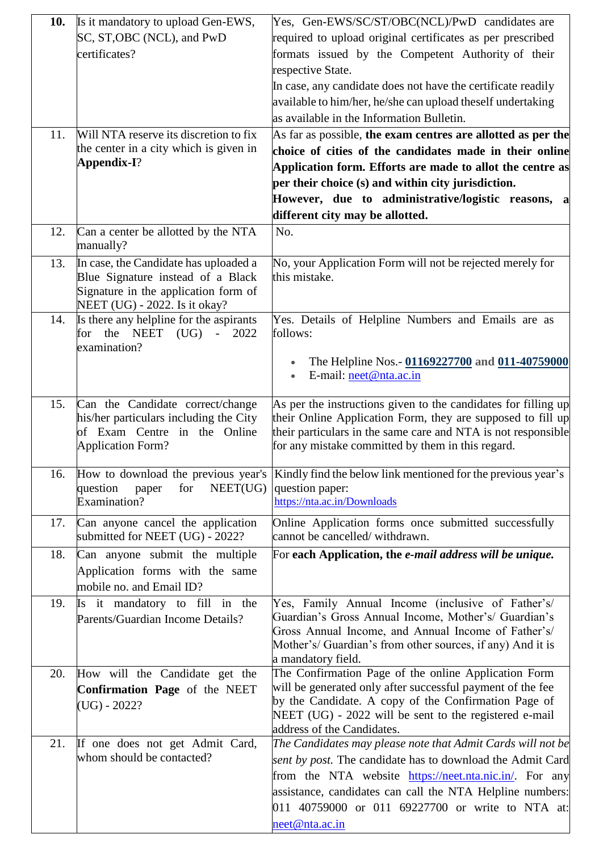| 10. | Is it mandatory to upload Gen-EWS,                                    | Yes, Gen-EWS/SC/ST/OBC(NCL)/PwD candidates are                                                                     |
|-----|-----------------------------------------------------------------------|--------------------------------------------------------------------------------------------------------------------|
|     | SC, ST, OBC (NCL), and PwD                                            | required to upload original certificates as per prescribed                                                         |
|     | certificates?                                                         | formats issued by the Competent Authority of their                                                                 |
|     |                                                                       | respective State.                                                                                                  |
|     |                                                                       | In case, any candidate does not have the certificate readily                                                       |
|     |                                                                       | available to him/her, he/she can upload theself undertaking                                                        |
|     |                                                                       | as available in the Information Bulletin.                                                                          |
| 11. | Will NTA reserve its discretion to fix                                | As far as possible, the exam centres are allotted as per the                                                       |
|     | the center in a city which is given in                                | choice of cities of the candidates made in their online                                                            |
|     | Appendix-I?                                                           | Application form. Efforts are made to allot the centre as                                                          |
|     |                                                                       | per their choice (s) and within city jurisdiction.                                                                 |
|     |                                                                       | However, due to administrative/logistic reasons, a                                                                 |
|     |                                                                       | different city may be allotted.                                                                                    |
| 12. | Can a center be allotted by the NTA<br>manually?                      | No.                                                                                                                |
| 13. | In case, the Candidate has uploaded a                                 | No, your Application Form will not be rejected merely for                                                          |
|     | Blue Signature instead of a Black                                     | this mistake.                                                                                                      |
|     | Signature in the application form of                                  |                                                                                                                    |
|     | NEET (UG) - 2022. Is it okay?                                         |                                                                                                                    |
| 14. | Is there any helpline for the aspirants<br>for the NEET $(UG)$ - 2022 | Yes. Details of Helpline Numbers and Emails are as<br>follows:                                                     |
|     | examination?                                                          |                                                                                                                    |
|     |                                                                       | The Helpline Nos. - 01169227700 and 011-40759000                                                                   |
|     |                                                                       | E-mail: neet@nta.ac.in                                                                                             |
|     |                                                                       |                                                                                                                    |
| 15. | Can the Candidate correct/change                                      | As per the instructions given to the candidates for filling up                                                     |
|     | his/her particulars including the City                                | their Online Application Form, they are supposed to fill up                                                        |
|     | of Exam Centre in the Online                                          | their particulars in the same care and NTA is not responsible<br>for any mistake committed by them in this regard. |
|     | <b>Application Form?</b>                                              |                                                                                                                    |
| 16. | How to download the previous year's                                   | Kindly find the below link mentioned for the previous year's                                                       |
|     | for<br>NEET(UG)<br>question<br>paper                                  | question paper:                                                                                                    |
|     | Examination?                                                          | https://nta.ac.in/Downloads                                                                                        |
| 17. | Can anyone cancel the application                                     | Online Application forms once submitted successfully                                                               |
|     | submitted for NEET (UG) - 2022?                                       | cannot be cancelled/withdrawn.                                                                                     |
| 18. | Can anyone submit the multiple                                        | For each Application, the e-mail address will be unique.                                                           |
|     | Application forms with the same                                       |                                                                                                                    |
|     | mobile no. and Email ID?                                              |                                                                                                                    |
| 19. | it mandatory to fill in the<br>Is                                     | Yes, Family Annual Income (inclusive of Father's/                                                                  |
|     | Parents/Guardian Income Details?                                      | Guardian's Gross Annual Income, Mother's/ Guardian's                                                               |
|     |                                                                       | Gross Annual Income, and Annual Income of Father's/                                                                |
|     |                                                                       | Mother's/ Guardian's from other sources, if any) And it is                                                         |
| 20. | How will the Candidate get the                                        | a mandatory field.<br>The Confirmation Page of the online Application Form                                         |
|     | Confirmation Page of the NEET                                         | will be generated only after successful payment of the fee                                                         |
|     | $(UG) - 2022?$                                                        | by the Candidate. A copy of the Confirmation Page of                                                               |
|     |                                                                       | NEET (UG) - 2022 will be sent to the registered e-mail                                                             |
|     |                                                                       | address of the Candidates.                                                                                         |
| 21. | If one does not get Admit Card,                                       | The Candidates may please note that Admit Cards will not be                                                        |
|     | whom should be contacted?                                             | sent by post. The candidate has to download the Admit Card                                                         |
|     |                                                                       | from the NTA website <b>https://neet.nta.nic.in/</b> . For any                                                     |
|     |                                                                       | assistance, candidates can call the NTA Helpline numbers:                                                          |
|     |                                                                       | 011 40759000 or 011 69227700 or write to NTA at:                                                                   |
|     |                                                                       | neet@nta.ac.in                                                                                                     |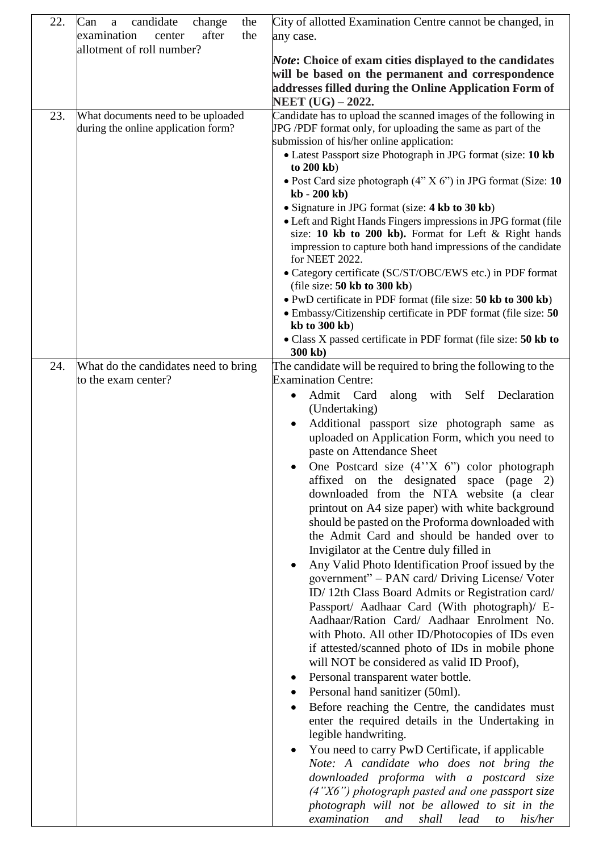| 22. | candidate<br>Can<br>change<br>the<br>$\mathbf{a}$ | City of allotted Examination Centre cannot be changed, in                                                               |
|-----|---------------------------------------------------|-------------------------------------------------------------------------------------------------------------------------|
|     | examination<br>after<br>center<br>the             | any case.                                                                                                               |
|     | allotment of roll number?                         |                                                                                                                         |
|     |                                                   | <i>Note:</i> Choice of exam cities displayed to the candidates                                                          |
|     |                                                   | will be based on the permanent and correspondence                                                                       |
|     |                                                   | addresses filled during the Online Application Form of                                                                  |
|     |                                                   | <b>NEET</b> (UG) – 2022.                                                                                                |
| 23. | What documents need to be uploaded                | Candidate has to upload the scanned images of the following in                                                          |
|     | during the online application form?               | JPG/PDF format only, for uploading the same as part of the                                                              |
|     |                                                   | submission of his/her online application:                                                                               |
|     |                                                   | • Latest Passport size Photograph in JPG format (size: 10 kb                                                            |
|     |                                                   | to 200 kb)                                                                                                              |
|     |                                                   | • Post Card size photograph (4" X 6") in JPG format (Size: 10                                                           |
|     |                                                   | $kb - 200 kb$                                                                                                           |
|     |                                                   | • Signature in JPG format (size: 4 kb to 30 kb)                                                                         |
|     |                                                   | • Left and Right Hands Fingers impressions in JPG format (file<br>size: 10 kb to 200 kb). Format for Left & Right hands |
|     |                                                   | impression to capture both hand impressions of the candidate                                                            |
|     |                                                   | for NEET 2022.                                                                                                          |
|     |                                                   | • Category certificate (SC/ST/OBC/EWS etc.) in PDF format                                                               |
|     |                                                   | (file size: $50 \text{ kb}$ to $300 \text{ kb}$ )                                                                       |
|     |                                                   | • PwD certificate in PDF format (file size: 50 kb to 300 kb)                                                            |
|     |                                                   | • Embassy/Citizenship certificate in PDF format (file size: 50                                                          |
|     |                                                   | $kb$ to 300 $kb)$                                                                                                       |
|     |                                                   | • Class X passed certificate in PDF format (file size: 50 kb to                                                         |
|     |                                                   | 300 kb)                                                                                                                 |
| 24. | What do the candidates need to bring              | The candidate will be required to bring the following to the                                                            |
|     | to the exam center?                               | <b>Examination Centre:</b>                                                                                              |
|     |                                                   | Admit Card<br>along with Self Declaration<br>٠                                                                          |
|     |                                                   | (Undertaking)                                                                                                           |
|     |                                                   | Additional passport size photograph same as                                                                             |
|     |                                                   | uploaded on Application Form, which you need to                                                                         |
|     |                                                   | paste on Attendance Sheet                                                                                               |
|     |                                                   | One Postcard size $(4''X \ 6'')$ color photograph                                                                       |
|     |                                                   | affixed on the designated space (page 2)                                                                                |
|     |                                                   | downloaded from the NTA website (a clear                                                                                |
|     |                                                   | printout on A4 size paper) with white background                                                                        |
|     |                                                   | should be pasted on the Proforma downloaded with                                                                        |
|     |                                                   | the Admit Card and should be handed over to                                                                             |
|     |                                                   | Invigilator at the Centre duly filled in                                                                                |
|     |                                                   | Any Valid Photo Identification Proof issued by the                                                                      |
|     |                                                   | government" - PAN card/ Driving License/ Voter                                                                          |
|     |                                                   | ID/12th Class Board Admits or Registration card/                                                                        |
|     |                                                   | Passport/ Aadhaar Card (With photograph)/ E-                                                                            |
|     |                                                   | Aadhaar/Ration Card/ Aadhaar Enrolment No.                                                                              |
|     |                                                   | with Photo. All other ID/Photocopies of IDs even                                                                        |
|     |                                                   | if attested/scanned photo of IDs in mobile phone                                                                        |
|     |                                                   | will NOT be considered as valid ID Proof),                                                                              |
|     |                                                   | Personal transparent water bottle.                                                                                      |
|     |                                                   | Personal hand sanitizer (50ml).                                                                                         |
|     |                                                   |                                                                                                                         |
|     |                                                   | Before reaching the Centre, the candidates must                                                                         |
|     |                                                   | enter the required details in the Undertaking in                                                                        |
|     |                                                   | legible handwriting.                                                                                                    |
|     |                                                   | You need to carry PwD Certificate, if applicable                                                                        |
|     |                                                   | Note: A candidate who does not bring the                                                                                |
|     |                                                   | downloaded proforma with a postcard size                                                                                |
|     |                                                   | $(4"X6")$ photograph pasted and one passport size                                                                       |
|     |                                                   | photograph will not be allowed to sit in the                                                                            |
|     |                                                   | examination<br>shall<br>lead<br>and<br>his/her<br>to                                                                    |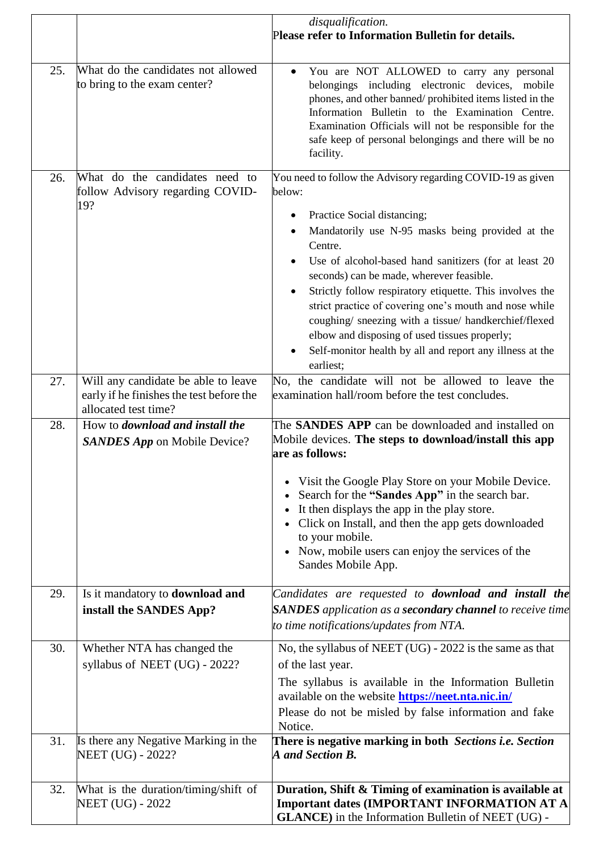|     |                                                                                                         | disqualification.<br>Please refer to Information Bulletin for details.                                                                                                                                                                                                                                                                                                                                                                                                                                                                                                                         |
|-----|---------------------------------------------------------------------------------------------------------|------------------------------------------------------------------------------------------------------------------------------------------------------------------------------------------------------------------------------------------------------------------------------------------------------------------------------------------------------------------------------------------------------------------------------------------------------------------------------------------------------------------------------------------------------------------------------------------------|
| 25. | What do the candidates not allowed<br>to bring to the exam center?                                      | You are NOT ALLOWED to carry any personal<br>$\bullet$<br>belongings including electronic devices, mobile<br>phones, and other banned/prohibited items listed in the<br>Information Bulletin to the Examination Centre.<br>Examination Officials will not be responsible for the<br>safe keep of personal belongings and there will be no<br>facility.                                                                                                                                                                                                                                         |
| 26. | What do the candidates need to<br>follow Advisory regarding COVID-<br>19?                               | You need to follow the Advisory regarding COVID-19 as given<br>below:<br>Practice Social distancing;<br>Mandatorily use N-95 masks being provided at the<br>Centre.<br>Use of alcohol-based hand sanitizers (for at least 20<br>seconds) can be made, wherever feasible.<br>Strictly follow respiratory etiquette. This involves the<br>strict practice of covering one's mouth and nose while<br>coughing/ sneezing with a tissue/ handkerchief/flexed<br>elbow and disposing of used tissues properly;<br>Self-monitor health by all and report any illness at the<br>$\bullet$<br>earliest; |
| 27. | Will any candidate be able to leave<br>early if he finishes the test before the<br>allocated test time? | No, the candidate will not be allowed to leave the<br>examination hall/room before the test concludes.                                                                                                                                                                                                                                                                                                                                                                                                                                                                                         |
| 28. | How to <i>download and install the</i><br><b>SANDES App</b> on Mobile Device?                           | The <b>SANDES APP</b> can be downloaded and installed on<br>Mobile devices. The steps to download/install this app<br>are as follows:<br>• Visit the Google Play Store on your Mobile Device.<br>Search for the "Sandes App" in the search bar.<br>$\bullet$<br>• It then displays the app in the play store.<br>Click on Install, and then the app gets downloaded<br>to your mobile.<br>• Now, mobile users can enjoy the services of the<br>Sandes Mobile App.                                                                                                                              |
| 29. | Is it mandatory to <b>download and</b><br>install the SANDES App?                                       | Candidates are requested to <b>download and install the</b><br><b>SANDES</b> application as a <b>secondary channel</b> to receive time<br>to time notifications/updates from NTA.                                                                                                                                                                                                                                                                                                                                                                                                              |
| 30. | Whether NTA has changed the<br>syllabus of NEET (UG) - 2022?                                            | No, the syllabus of NEET (UG) - 2022 is the same as that<br>of the last year.<br>The syllabus is available in the Information Bulletin<br>available on the website <b>https://neet.nta.nic.in/</b><br>Please do not be misled by false information and fake<br>Notice.                                                                                                                                                                                                                                                                                                                         |
| 31. | Is there any Negative Marking in the<br>NEET (UG) - 2022?                                               | There is negative marking in both Sections i.e. Section<br>A and Section B.                                                                                                                                                                                                                                                                                                                                                                                                                                                                                                                    |
| 32. | What is the duration/timing/shift of<br><b>NEET (UG) - 2022</b>                                         | Duration, Shift & Timing of examination is available at<br><b>Important dates (IMPORTANT INFORMATION AT A</b><br><b>GLANCE</b> ) in the Information Bulletin of NEET (UG) -                                                                                                                                                                                                                                                                                                                                                                                                                    |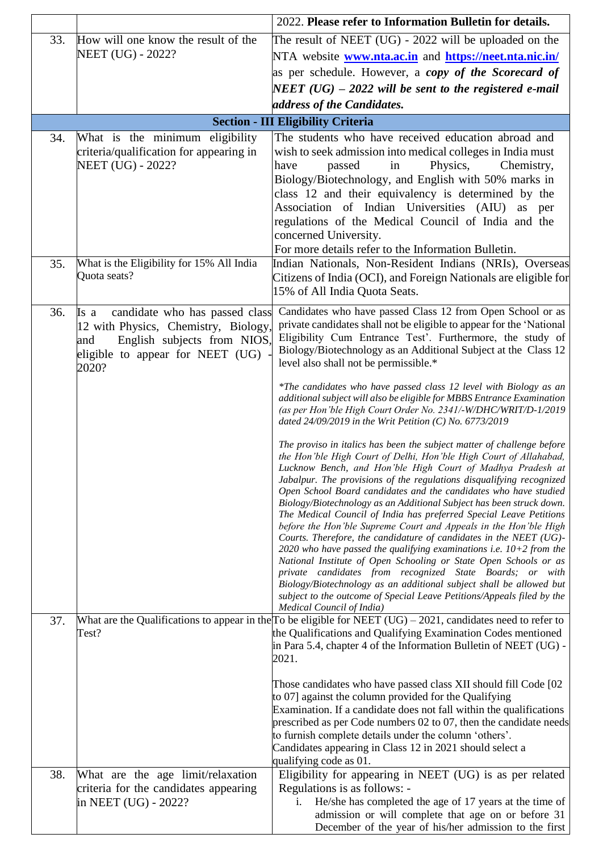|     |                                           | 2022. Please refer to Information Bulletin for details.                                                                                               |
|-----|-------------------------------------------|-------------------------------------------------------------------------------------------------------------------------------------------------------|
| 33. | How will one know the result of the       | The result of NEET $(UG)$ - 2022 will be uploaded on the                                                                                              |
|     | NEET (UG) - 2022?                         | NTA website <b>www.nta.ac.in</b> and <b>https://neet.nta.nic.in/</b>                                                                                  |
|     |                                           | as per schedule. However, a copy of the Scorecard of                                                                                                  |
|     |                                           | NEET (UG) – 2022 will be sent to the registered e-mail                                                                                                |
|     |                                           | address of the Candidates.                                                                                                                            |
|     |                                           | <b>Section - III Eligibility Criteria</b>                                                                                                             |
| 34. | What is the minimum eligibility           | The students who have received education abroad and                                                                                                   |
|     | criteria/qualification for appearing in   | wish to seek admission into medical colleges in India must                                                                                            |
|     | NEET (UG) - 2022?                         | Physics,<br>passed<br>in<br>Chemistry,<br>have<br>Biology/Biotechnology, and English with 50% marks in                                                |
|     |                                           | class 12 and their equivalency is determined by the                                                                                                   |
|     |                                           | Association of Indian Universities (AIU) as per                                                                                                       |
|     |                                           | regulations of the Medical Council of India and the                                                                                                   |
|     |                                           | concerned University.                                                                                                                                 |
| 35. | What is the Eligibility for 15% All India | For more details refer to the Information Bulletin.<br>Indian Nationals, Non-Resident Indians (NRIs), Overseas                                        |
|     | Quota seats?                              | Citizens of India (OCI), and Foreign Nationals are eligible for                                                                                       |
|     |                                           | 15% of All India Quota Seats.                                                                                                                         |
| 36. | candidate who has passed class<br>Is a    | Candidates who have passed Class 12 from Open School or as                                                                                            |
|     | 12 with Physics, Chemistry, Biology,      | private candidates shall not be eligible to appear for the 'National                                                                                  |
|     | English subjects from NIOS,<br>and        | Eligibility Cum Entrance Test'. Furthermore, the study of<br>Biology/Biotechnology as an Additional Subject at the Class 12                           |
|     | eligible to appear for NEET (UG)<br>2020? | level also shall not be permissible.*                                                                                                                 |
|     |                                           |                                                                                                                                                       |
|     |                                           | *The candidates who have passed class 12 level with Biology as an<br>additional subject will also be eligible for MBBS Entrance Examination           |
|     |                                           | (as per Hon'ble High Court Order No. 2341/-W/DHC/WRIT/D-1/2019                                                                                        |
|     |                                           | dated 24/09/2019 in the Writ Petition (C) No. 6773/2019                                                                                               |
|     |                                           | The proviso in italics has been the subject matter of challenge before                                                                                |
|     |                                           | the Hon'ble High Court of Delhi, Hon'ble High Court of Allahabad,<br>Lucknow Bench, and Hon'ble High Court of Madhya Pradesh at                       |
|     |                                           | Jabalpur. The provisions of the regulations disqualifying recognized                                                                                  |
|     |                                           | Open School Board candidates and the candidates who have studied<br>Biology/Biotechnology as an Additional Subject has been struck down.              |
|     |                                           | The Medical Council of India has preferred Special Leave Petitions                                                                                    |
|     |                                           | before the Hon'ble Supreme Court and Appeals in the Hon'ble High<br>Courts. Therefore, the candidature of candidates in the NEET (UG)-                |
|     |                                           | $2020$ who have passed the qualifying examinations i.e. $10+2$ from the                                                                               |
|     |                                           | National Institute of Open Schooling or State Open Schools or as<br>private candidates from recognized State Boards; or with                          |
|     |                                           | Biology/Biotechnology as an additional subject shall be allowed but                                                                                   |
|     |                                           | subject to the outcome of Special Leave Petitions/Appeals filed by the                                                                                |
| 37. |                                           | Medical Council of India)<br>What are the Qualifications to appear in the $\Gamma$ o be eligible for NEET (UG) – $2021$ , candidates need to refer to |
|     | Test?                                     | the Qualifications and Qualifying Examination Codes mentioned                                                                                         |
|     |                                           | in Para 5.4, chapter 4 of the Information Bulletin of NEET (UG) -<br>2021.                                                                            |
|     |                                           |                                                                                                                                                       |
|     |                                           | Those candidates who have passed class XII should fill Code [02]                                                                                      |
|     |                                           | to 07] against the column provided for the Qualifying<br>Examination. If a candidate does not fall within the qualifications                          |
|     |                                           | prescribed as per Code numbers 02 to 07, then the candidate needs                                                                                     |
|     |                                           | to furnish complete details under the column 'others'.                                                                                                |
|     |                                           | Candidates appearing in Class 12 in 2021 should select a<br>qualifying code as 01.                                                                    |
| 38. | What are the age limit/relaxation         | Eligibility for appearing in NEET (UG) is as per related                                                                                              |
|     | criteria for the candidates appearing     | Regulations is as follows: -                                                                                                                          |
|     | in NEET (UG) - 2022?                      | He/she has completed the age of 17 years at the time of                                                                                               |
|     |                                           | admission or will complete that age on or before 31<br>December of the year of his/her admission to the first                                         |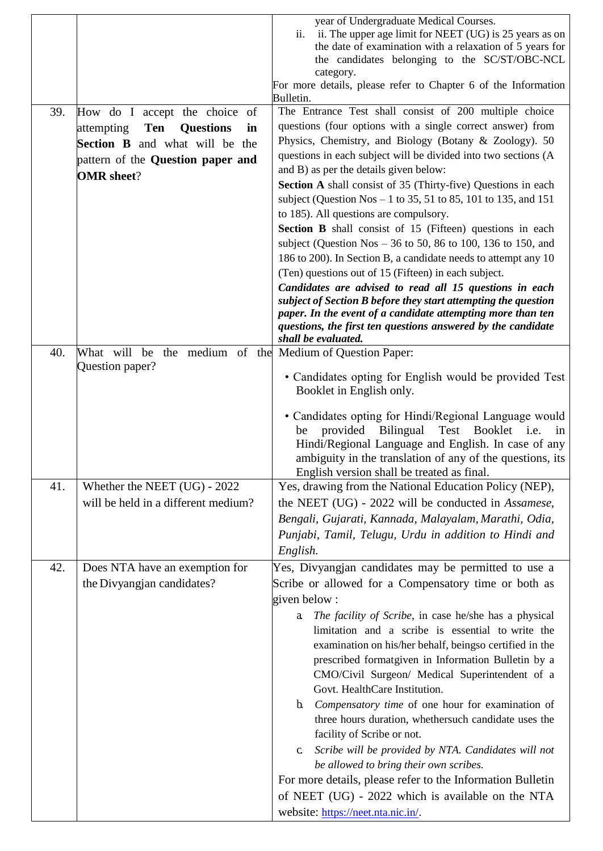|     |                                                          | year of Undergraduate Medical Courses.                                      |
|-----|----------------------------------------------------------|-----------------------------------------------------------------------------|
|     |                                                          | ii. The upper age limit for NEET (UG) is 25 years as on<br>ii.              |
|     |                                                          | the date of examination with a relaxation of 5 years for                    |
|     |                                                          | the candidates belonging to the SC/ST/OBC-NCL                               |
|     |                                                          | category.<br>For more details, please refer to Chapter 6 of the Information |
|     |                                                          | Bulletin.                                                                   |
| 39. | How do I accept the choice of                            | The Entrance Test shall consist of 200 multiple choice                      |
|     | <b>Ten</b><br><b>Questions</b><br>attempting<br>in       | questions (four options with a single correct answer) from                  |
|     | <b>Section B</b> and what will be the                    | Physics, Chemistry, and Biology (Botany & Zoology). 50                      |
|     |                                                          | questions in each subject will be divided into two sections (A              |
|     | pattern of the Question paper and                        | and B) as per the details given below:                                      |
|     | <b>OMR</b> sheet?                                        | Section A shall consist of 35 (Thirty-five) Questions in each               |
|     |                                                          | subject (Question Nos - 1 to 35, 51 to 85, 101 to 135, and 151              |
|     |                                                          | to 185). All questions are compulsory.                                      |
|     |                                                          | <b>Section B</b> shall consist of 15 (Fifteen) questions in each            |
|     |                                                          | subject (Question Nos $-36$ to 50, 86 to 100, 136 to 150, and               |
|     |                                                          | 186 to 200). In Section B, a candidate needs to attempt any 10              |
|     |                                                          | (Ten) questions out of 15 (Fifteen) in each subject.                        |
|     |                                                          | Candidates are advised to read all 15 questions in each                     |
|     |                                                          | subject of Section B before they start attempting the question              |
|     |                                                          | paper. In the event of a candidate attempting more than ten                 |
|     |                                                          | questions, the first ten questions answered by the candidate                |
|     |                                                          | shall be evaluated.                                                         |
| 40. | What will be the medium of the Medium of Question Paper: |                                                                             |
|     | Question paper?                                          | • Candidates opting for English would be provided Test                      |
|     |                                                          | Booklet in English only.                                                    |
|     |                                                          |                                                                             |
|     |                                                          | • Candidates opting for Hindi/Regional Language would                       |
|     |                                                          | provided<br><b>Bilingual</b><br>Test<br><b>Booklet</b><br>be<br>i.e.<br>in  |
|     |                                                          | Hindi/Regional Language and English. In case of any                         |
|     |                                                          | ambiguity in the translation of any of the questions, its                   |
|     |                                                          | English version shall be treated as final.                                  |
| 41. | Whether the NEET (UG) - 2022                             | Yes, drawing from the National Education Policy (NEP),                      |
|     | will be held in a different medium?                      | the NEET (UG) - 2022 will be conducted in Assamese,                         |
|     |                                                          | Bengali, Gujarati, Kannada, Malayalam, Marathi, Odia,                       |
|     |                                                          | Punjabi, Tamil, Telugu, Urdu in addition to Hindi and                       |
|     |                                                          | English.                                                                    |
| 42. | Does NTA have an exemption for                           | Yes, Divyangjan candidates may be permitted to use a                        |
|     | the Divyangjan candidates?                               | Scribe or allowed for a Compensatory time or both as                        |
|     |                                                          | given below:                                                                |
|     |                                                          | The facility of Scribe, in case he/she has a physical<br>a                  |
|     |                                                          | limitation and a scribe is essential to write the                           |
|     |                                                          | examination on his/her behalf, beingso certified in the                     |
|     |                                                          | prescribed formatgiven in Information Bulletin by a                         |
|     |                                                          | CMO/Civil Surgeon/ Medical Superintendent of a                              |
|     |                                                          | Govt. HealthCare Institution.                                               |
|     |                                                          | Compensatory time of one hour for examination of<br>$\mathbf{b}$            |
|     |                                                          | three hours duration, whethersuch candidate uses the                        |
|     |                                                          | facility of Scribe or not.                                                  |
|     |                                                          | Scribe will be provided by NTA. Candidates will not<br>$c_{\cdot}$          |
|     |                                                          | be allowed to bring their own scribes.                                      |
|     |                                                          | For more details, please refer to the Information Bulletin                  |
|     |                                                          |                                                                             |
|     |                                                          | of NEET (UG) - 2022 which is available on the NTA                           |
|     |                                                          | website: https://neet.nta.nic.in/.                                          |